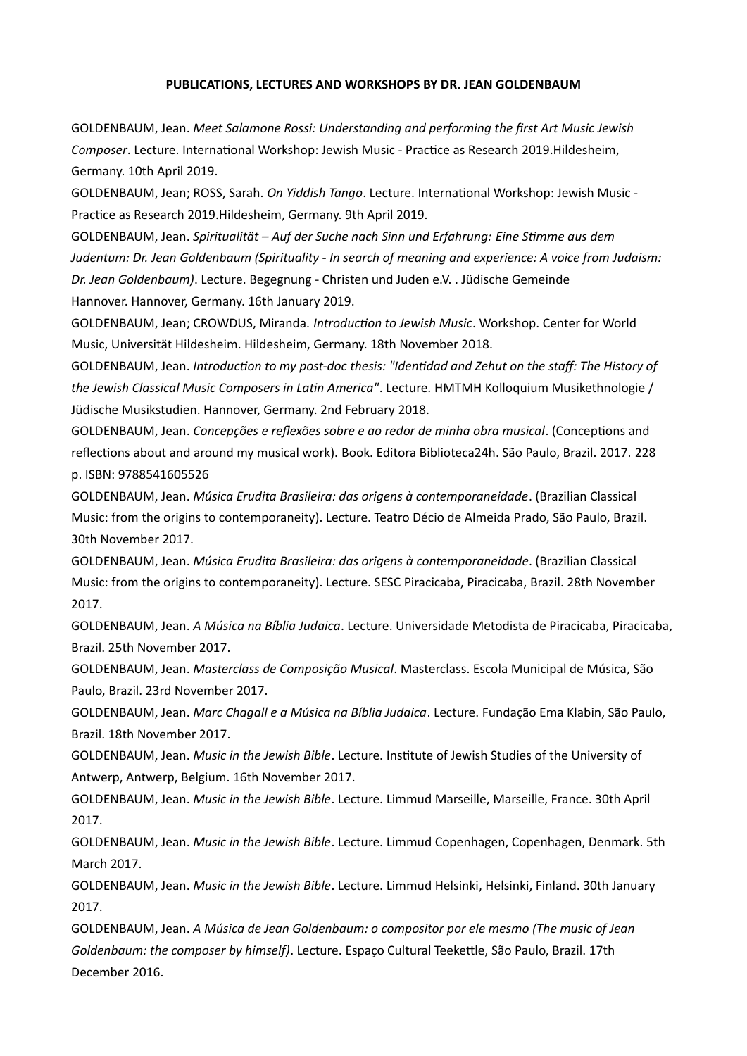## **PUBLICATIONS, LECTURES AND WORKSHOPS BY DR. JEAN GOLDENBAUM**

GOLDENBAUM, Jean. *Meet Salamone Rossi: Understanding and performing the first Art Music Jewish Composer*. Lecture. International Workshop: Jewish Music - Practice as Research 2019.Hildesheim, Germany. 10th April 2019.

GOLDENBAUM, Jean; ROSS, Sarah. *On Yiddish Tango*. Lecture. International Workshop: Jewish Music - Practice as Research 2019.Hildesheim, Germany. 9th April 2019.

GOLDENBAUM, Jean. *Spiritualität – Auf der Suche nach Sinn und Erfahrung: Eine Stimme aus dem Judentum: Dr. Jean Goldenbaum (Spirituality - In search of meaning and experience: A voice from Judaism: Dr. Jean Goldenbaum)*. Lecture. Begegnung - Christen und Juden e.V. . Jüdische Gemeinde Hannover. Hannover, Germany. 16th January 2019.

GOLDENBAUM, Jean; CROWDUS, Miranda. *Introduction to Jewish Music*. Workshop. Center for World Music, Universität Hildesheim. Hildesheim, Germany. 18th November 2018.

GOLDENBAUM, Jean. *Introduction to my post-doc thesis: "Identidad and Zehut on the staff: The History of the Jewish Classical Music Composers in Latin America"*. Lecture. HMTMH Kolloquium Musikethnologie / Jüdische Musikstudien. Hannover, Germany. 2nd February 2018.

GOLDENBAUM, Jean. *Concepções e reflexões sobre e ao redor de minha obra musical*. (Conceptions and reflections about and around my musical work). Book. Editora Biblioteca24h. São Paulo, Brazil. 2017. 228 p. ISBN: 9788541605526

GOLDENBAUM, Jean. *Música Erudita Brasileira: das origens à contemporaneidade*. (Brazilian Classical Music: from the origins to contemporaneity). Lecture. Teatro Décio de Almeida Prado, São Paulo, Brazil. 30th November 2017.

GOLDENBAUM, Jean. *Música Erudita Brasileira: das origens à contemporaneidade*. (Brazilian Classical Music: from the origins to contemporaneity). Lecture. SESC Piracicaba, Piracicaba, Brazil. 28th November 2017.

GOLDENBAUM, Jean. *A Música na Bíblia Judaica*. Lecture. Universidade Metodista de Piracicaba, Piracicaba, Brazil. 25th November 2017.

GOLDENBAUM, Jean. *Masterclass de Composição Musical*. Masterclass. Escola Municipal de Música, São Paulo, Brazil. 23rd November 2017.

GOLDENBAUM, Jean. *Marc Chagall e a Música na Bíblia Judaica*. Lecture. Fundação Ema Klabin, São Paulo, Brazil. 18th November 2017.

GOLDENBAUM, Jean. *Music in the Jewish Bible*. Lecture. Institute of Jewish Studies of the University of Antwerp, Antwerp, Belgium. 16th November 2017.

GOLDENBAUM, Jean. *Music in the Jewish Bible*. Lecture. Limmud Marseille, Marseille, France. 30th April 2017.

GOLDENBAUM, Jean. *Music in the Jewish Bible*. Lecture. Limmud Copenhagen, Copenhagen, Denmark. 5th March 2017.

GOLDENBAUM, Jean. *Music in the Jewish Bible*. Lecture. Limmud Helsinki, Helsinki, Finland. 30th January 2017.

GOLDENBAUM, Jean. *A Música de Jean Goldenbaum: o compositor por ele mesmo (The music of Jean Goldenbaum: the composer by himself)*. Lecture. Espaço Cultural Teekettle, São Paulo, Brazil. 17th December 2016.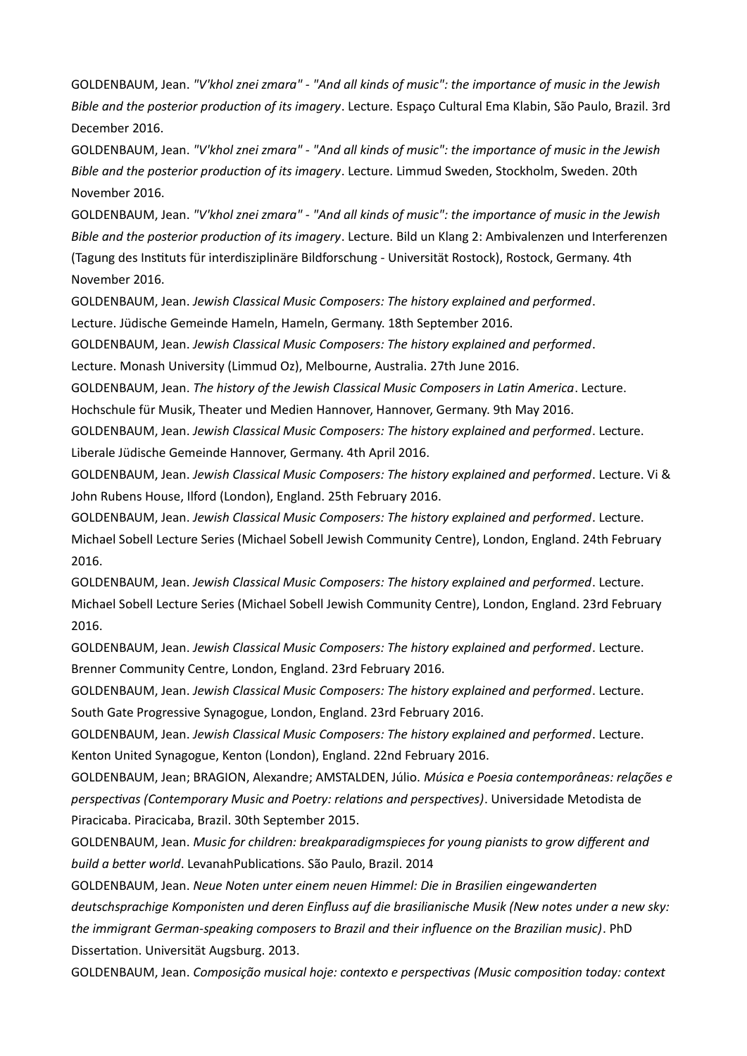GOLDENBAUM, Jean. *"V'khol znei zmara" - "And all kinds of music": the importance of music in the Jewish Bible and the posterior production of its imagery*. Lecture. Espaço Cultural Ema Klabin, São Paulo, Brazil. 3rd December 2016.

GOLDENBAUM, Jean. *"V'khol znei zmara" - "And all kinds of music": the importance of music in the Jewish Bible and the posterior production of its imagery*. Lecture. Limmud Sweden, Stockholm, Sweden. 20th November 2016.

GOLDENBAUM, Jean. *"V'khol znei zmara" - "And all kinds of music": the importance of music in the Jewish Bible and the posterior production of its imagery*. Lecture. Bild un Klang 2: Ambivalenzen und Interferenzen (Tagung des Instituts für interdisziplinäre Bildforschung - Universität Rostock), Rostock, Germany. 4th November 2016.

GOLDENBAUM, Jean. *Jewish Classical Music Composers: The history explained and performed*. Lecture. Jüdische Gemeinde Hameln, Hameln, Germany. 18th September 2016.

GOLDENBAUM, Jean. *Jewish Classical Music Composers: The history explained and performed*.

Lecture. Monash University (Limmud Oz), Melbourne, Australia. 27th June 2016.

GOLDENBAUM, Jean. *The history of the Jewish Classical Music Composers in Latin America*. Lecture.

Hochschule für Musik, Theater und Medien Hannover, Hannover, Germany. 9th May 2016.

GOLDENBAUM, Jean. *Jewish Classical Music Composers: The history explained and performed*. Lecture. Liberale Jüdische Gemeinde Hannover, Germany. 4th April 2016.

GOLDENBAUM, Jean. *Jewish Classical Music Composers: The history explained and performed*. Lecture. Vi & John Rubens House, Ilford (London), England. 25th February 2016.

GOLDENBAUM, Jean. *Jewish Classical Music Composers: The history explained and performed*. Lecture. Michael Sobell Lecture Series (Michael Sobell Jewish Community Centre), London, England. 24th February 2016.

GOLDENBAUM, Jean. *Jewish Classical Music Composers: The history explained and performed*. Lecture. Michael Sobell Lecture Series (Michael Sobell Jewish Community Centre), London, England. 23rd February 2016.

GOLDENBAUM, Jean. *Jewish Classical Music Composers: The history explained and performed*. Lecture. Brenner Community Centre, London, England. 23rd February 2016.

GOLDENBAUM, Jean. *Jewish Classical Music Composers: The history explained and performed*. Lecture. South Gate Progressive Synagogue, London, England. 23rd February 2016.

GOLDENBAUM, Jean. *Jewish Classical Music Composers: The history explained and performed*. Lecture. Kenton United Synagogue, Kenton (London), England. 22nd February 2016.

GOLDENBAUM, Jean; BRAGION, Alexandre; AMSTALDEN, Júlio. *Música e Poesia contemporâneas: relações e perspectivas (Contemporary Music and Poetry: relations and perspectives)*. Universidade Metodista de Piracicaba. Piracicaba, Brazil. 30th September 2015.

GOLDENBAUM, Jean. *Music for children: breakparadigmspieces for young pianists to grow different and build a better world*. LevanahPublications. São Paulo, Brazil. 2014

GOLDENBAUM, Jean. *Neue Noten unter einem neuen Himmel: Die in Brasilien eingewanderten deutschsprachige Komponisten und deren Einfluss auf die brasilianische Musik (New notes under a new sky: the immigrant German-speaking composers to Brazil and their influence on the Brazilian music)*. PhD Dissertation. Universität Augsburg. 2013.

GOLDENBAUM, Jean. *Composição musical hoje: contexto e perspectivas (Music composition today: context*